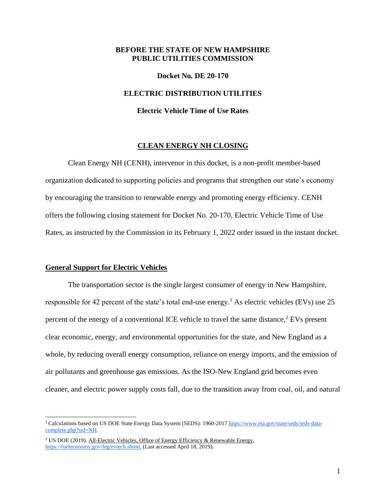### **BEFORE THE STATE OF NEW HAMPSHIRE PUBLIC UTILITIES COMMISSION**

#### **Docket No. DE 20-170**

#### **ELECTRIC DISTRIBUTION UTILITIES**

#### **Electric Vehicle Time of Use Rates**

### **CLEAN ENERGY NH CLOSING**

Clean Energy NH (CENH), intervenor in this docket, is a non-profit member-based organization dedicated to supporting policies and programs that strengthen our state's economy by encouraging the transition to renewable energy and promoting energy efficiency. CENH offers the following closing statement for Docket No. 20-170, Electric Vehicle Time of Use Rates, as instructed by the Commission in its February 1, 2022 order issued in the instant docket.

#### **General Support for Electric Vehicles**

The transportation sector is the single largest consumer of energy in New Hampshire, responsible for 42 percent of the state's total end-use energy.<sup>1</sup> As electric vehicles (EVs) use 25 percent of the energy of a conventional ICE vehicle to travel the same distance, $2$  EVs present clear economic, energy, and environmental opportunities for the state, and New England as a whole, by reducing overall energy consumption, reliance on energy imports, and the emission of air pollutants and greenhouse gas emissions. As the ISO-New England grid becomes even cleaner, and electric power supply costs fall, due to the transition away from coal, oil, and natural

<sup>&</sup>lt;sup>1</sup> Calculations based on US DOE State Energy Data System (SEDS): 1960-201[7](https://www.eia.gov/state/seds/seds-data-complete.php?sid=NH) [https://www.eia.gov/state/seds/seds-data](https://www.eia.gov/state/seds/seds-data-complete.php?sid=NH)[complete.php?sid=NH.](https://www.eia.gov/state/seds/seds-data-complete.php?sid=NH)

<sup>&</sup>lt;sup>2</sup> US DOE (2019). All-Electric Vehicles, Office of Energy Efficiency & Renewable Energ[y,](https://fueleconomy.gov/feg/evtech.shtml) [https://fueleconomy.gov/feg/evtech.shtml,](https://fueleconomy.gov/feg/evtech.shtml) (Last accessed April 18, 2019).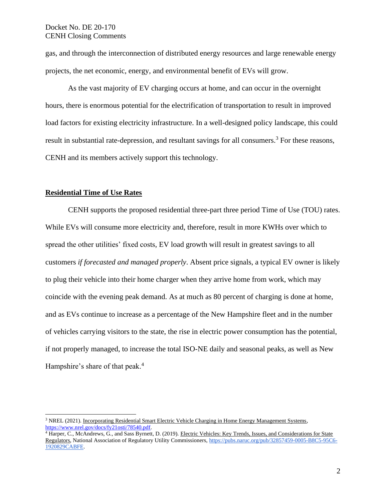gas, and through the interconnection of distributed energy resources and large renewable energy projects, the net economic, energy, and environmental benefit of EVs will grow.

As the vast majority of EV charging occurs at home, and can occur in the overnight hours, there is enormous potential for the electrification of transportation to result in improved load factors for existing electricity infrastructure. In a well-designed policy landscape, this could result in substantial rate-depression, and resultant savings for all consumers.<sup>3</sup> For these reasons, CENH and its members actively support this technology.

## **Residential Time of Use Rates**

CENH supports the proposed residential three-part three period Time of Use (TOU) rates. While EVs will consume more electricity and, therefore, result in more KWHs over which to spread the other utilities' fixed costs, EV load growth will result in greatest savings to all customers *if forecasted and managed properly*. Absent price signals, a typical EV owner is likely to plug their vehicle into their home charger when they arrive home from work, which may coincide with the evening peak demand. As at much as 80 percent of charging is done at home, and as EVs continue to increase as a percentage of the New Hampshire fleet and in the number of vehicles carrying visitors to the state, the rise in electric power consumption has the potential, if not properly managed, to increase the total ISO-NE daily and seasonal peaks, as well as New Hampshire's share of that peak.<sup>4</sup>

<sup>3</sup> NREL (2021). Incorporating Residential Smart Electric Vehicle Charging in Home Energy Management Systems, [https://www.nrel.gov/docs/fy21osti/78540.pdf.](https://www.nrel.gov/docs/fy21osti/78540.pdf)

<sup>&</sup>lt;sup>4</sup> Harper, C., McAndrews, G., and Sass Byrnett, D. (2019). Electric Vehicles: Key Trends, Issues, and Considerations for State Regulators, National Association of Regulatory Utility Commissioner[s,](https://pubs.naruc.org/pub/32857459-0005-B8C5-95C6-1920829CABFE) [https://pubs.naruc.org/pub/32857459-0005-B8C5-95C6-](https://pubs.naruc.org/pub/32857459-0005-B8C5-95C6-1920829CABFE) [1920829CABFE.](https://pubs.naruc.org/pub/32857459-0005-B8C5-95C6-1920829CABFE)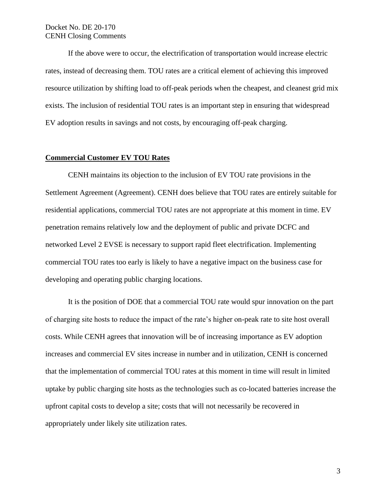If the above were to occur, the electrification of transportation would increase electric rates, instead of decreasing them. TOU rates are a critical element of achieving this improved resource utilization by shifting load to off-peak periods when the cheapest, and cleanest grid mix exists. The inclusion of residential TOU rates is an important step in ensuring that widespread EV adoption results in savings and not costs, by encouraging off-peak charging.

## **Commercial Customer EV TOU Rates**

CENH maintains its objection to the inclusion of EV TOU rate provisions in the Settlement Agreement (Agreement). CENH does believe that TOU rates are entirely suitable for residential applications, commercial TOU rates are not appropriate at this moment in time. EV penetration remains relatively low and the deployment of public and private DCFC and networked Level 2 EVSE is necessary to support rapid fleet electrification. Implementing commercial TOU rates too early is likely to have a negative impact on the business case for developing and operating public charging locations.

It is the position of DOE that a commercial TOU rate would spur innovation on the part of charging site hosts to reduce the impact of the rate's higher on-peak rate to site host overall costs. While CENH agrees that innovation will be of increasing importance as EV adoption increases and commercial EV sites increase in number and in utilization, CENH is concerned that the implementation of commercial TOU rates at this moment in time will result in limited uptake by public charging site hosts as the technologies such as co-located batteries increase the upfront capital costs to develop a site; costs that will not necessarily be recovered in appropriately under likely site utilization rates.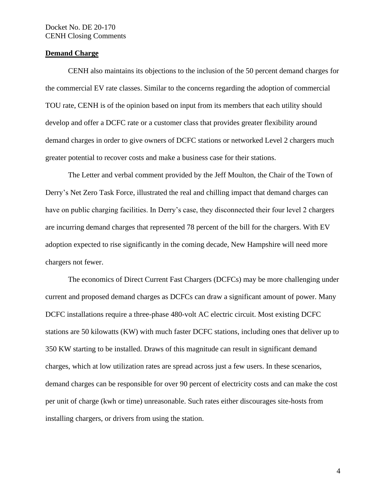# **Demand Charge**

CENH also maintains its objections to the inclusion of the 50 percent demand charges for the commercial EV rate classes. Similar to the concerns regarding the adoption of commercial TOU rate, CENH is of the opinion based on input from its members that each utility should develop and offer a DCFC rate or a customer class that provides greater flexibility around demand charges in order to give owners of DCFC stations or networked Level 2 chargers much greater potential to recover costs and make a business case for their stations.

The Letter and verbal comment provided by the Jeff Moulton, the Chair of the Town of Derry's Net Zero Task Force, illustrated the real and chilling impact that demand charges can have on public charging facilities. In Derry's case, they disconnected their four level 2 chargers are incurring demand charges that represented 78 percent of the bill for the chargers. With EV adoption expected to rise significantly in the coming decade, New Hampshire will need more chargers not fewer.

The economics of Direct Current Fast Chargers (DCFCs) may be more challenging under current and proposed demand charges as DCFCs can draw a significant amount of power. Many DCFC installations require a three-phase 480-volt AC electric circuit. Most existing DCFC stations are 50 kilowatts (KW) with much faster DCFC stations, including ones that deliver up to 350 KW starting to be installed. Draws of this magnitude can result in significant demand charges, which at low utilization rates are spread across just a few users. In these scenarios, demand charges can be responsible for over 90 percent of electricity costs and can make the cost per unit of charge (kwh or time) unreasonable. Such rates either discourages site-hosts from installing chargers, or drivers from using the station.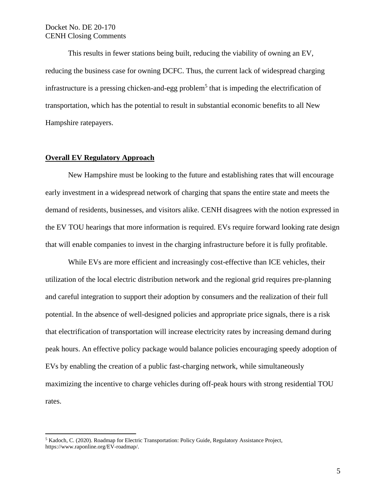This results in fewer stations being built, reducing the viability of owning an EV, reducing the business case for owning DCFC. Thus, the current lack of widespread charging infrastructure is a pressing chicken-and-egg problem<sup>5</sup> that is impeding the electrification of transportation, which has the potential to result in substantial economic benefits to all New Hampshire ratepayers.

# **Overall EV Regulatory Approach**

New Hampshire must be looking to the future and establishing rates that will encourage early investment in a widespread network of charging that spans the entire state and meets the demand of residents, businesses, and visitors alike. CENH disagrees with the notion expressed in the EV TOU hearings that more information is required. EVs require forward looking rate design that will enable companies to invest in the charging infrastructure before it is fully profitable.

While EVs are more efficient and increasingly cost-effective than ICE vehicles, their utilization of the local electric distribution network and the regional grid requires pre-planning and careful integration to support their adoption by consumers and the realization of their full potential. In the absence of well-designed policies and appropriate price signals, there is a risk that electrification of transportation will increase electricity rates by increasing demand during peak hours. An effective policy package would balance policies encouraging speedy adoption of EVs by enabling the creation of a public fast-charging network, while simultaneously maximizing the incentive to charge vehicles during off-peak hours with strong residential TOU rates.

<sup>5</sup> Kadoch, C. (2020). Roadmap for Electric Transportation: Policy Guide, Regulatory Assistance Projec[t,](http://www.raponline.org/EV-roadmap) [https://www.raponline.org/EV-roadmap/.](http://www.raponline.org/EV-roadmap)